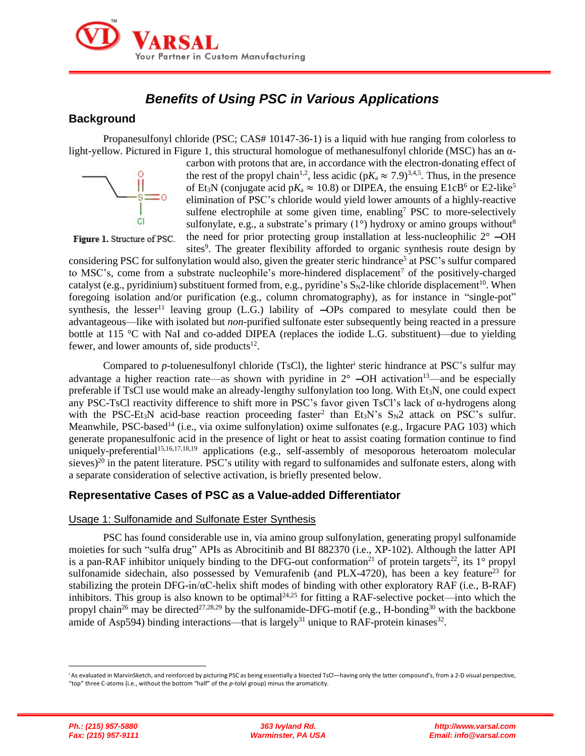

# *Benefits of Using PSC in Various Applications*

### **Background**

Propanesulfonyl chloride (PSC; CAS# 10147-36-1) is a liquid with hue ranging from colorless to light-yellow. Pictured in Figure 1, this structural homologue of methanesulfonyl chloride (MSC) has an α-



carbon with protons that are, in accordance with the electron-donating effect of the rest of the propyl chain<sup>1,2</sup>, less acidic ( $pK_a \approx 7.9$ )<sup>3,4,5</sup>. Thus, in the presence of Et<sub>3</sub>N (conjugate acid  $pK_a \approx 10.8$ ) or DIPEA, the ensuing E1cB<sup>6</sup> or E2-like<sup>5</sup> elimination of PSC's chloride would yield lower amounts of a highly-reactive sulfene electrophile at some given time, enabling<sup>7</sup> PSC to more-selectively sulfonylate, e.g., a substrate's primary  $(1^{\circ})$  hydroxy or amino groups without<sup>8</sup> the need for prior protecting group installation at less-nucleophilic  $2^{\circ}$  -OH

Figure 1. Structure of PSC.

sites<sup>9</sup>. The greater flexibility afforded to organic synthesis route design by considering PSC for sulfonylation would also, given the greater steric hindrance<sup>5</sup> at PSC's sulfur compared to MSC's, come from a substrate nucleophile's more-hindered displacement<sup>7</sup> of the positively-charged catalyst (e.g., pyridinium) substituent formed from, e.g., pyridine's  $S_N2$ -like chloride displacement<sup>10</sup>. When foregoing isolation and/or purification (e.g., column chromatography), as for instance in "single-pot" synthesis, the lesser<sup>11</sup> leaving group  $(L.G.)$  lability of  $-OPs$  compared to mesylate could then be advantageous—like with isolated but *non*-purified sulfonate ester subsequently being reacted in a pressure bottle at 115 °C with NaI and co-added DIPEA (replaces the iodide L.G. substituent)—due to yielding fewer, and lower amounts of, side products $^{12}$ .

Compared to  $p$ -toluenesulfonyl chloride (TsCl), the lighter<sup>i</sup> steric hindrance at PSC's sulfur may advantage a higher reaction rate—as shown with pyridine in  $2^{\circ}$  -OH activation<sup>13</sup>—and be especially preferable if TsCl use would make an already-lengthy sulfonylation too long. With  $Et_3N$ , one could expect any PSC-TsCl reactivity difference to shift more in PSC's favor given TsCl's lack of α-hydrogens along with the PSC-Et<sub>3</sub>N acid-base reaction proceeding faster<sup>2</sup> than Et<sub>3</sub>N's  $S_N$ 2 attack on PSC's sulfur. Meanwhile, PSC-based<sup>14</sup> (i.e., via oxime sulfonylation) oxime sulfonates (e.g., Irgacure PAG 103) which generate propanesulfonic acid in the presence of light or heat to assist coating formation continue to find uniquely-preferential<sup>15,16,17,18,19</sup> applications (e.g., self-assembly of mesoporous heteroatom molecular sieves)<sup>20</sup> in the patent literature. PSC's utility with regard to sulfonamides and sulfonate esters, along with a separate consideration of selective activation, is briefly presented below.

# **Representative Cases of PSC as a Value-added Differentiator**

#### Usage 1: Sulfonamide and Sulfonate Ester Synthesis

PSC has found considerable use in, via amino group sulfonylation, generating propyl sulfonamide moieties for such "sulfa drug" APIs as Abrocitinib and BI 882370 (i.e., XP-102). Although the latter API is a pan-RAF inhibitor uniquely binding to the DFG-out conformation<sup>21</sup> of protein targets<sup>22</sup>, its 1<sup>°</sup> propyl sulfonamide sidechain, also possessed by Vemurafenib (and PLX-4720), has been a key feature<sup>23</sup> for stabilizing the protein DFG-in/αC-helix shift modes of binding with other exploratory RAF (i.e., B-RAF) inhibitors. This group is also known to be optimal<sup>24,25</sup> for fitting a RAF-selective pocket—into which the propyl chain<sup>26</sup> may be directed<sup>27,28,29</sup> by the sulfonamide-DFG-motif (e.g., H-bonding<sup>30</sup> with the backbone amide of Asp594) binding interactions—that is largely<sup>31</sup> unique to RAF-protein kinases<sup>32</sup>.

<sup>&</sup>lt;sup>i</sup> As evaluated in MarvinSketch, and reinforced by picturing PSC as being essentially a bisected TsCl—having only the latter compound's, from a 2-D visual perspective, "top" three C-atoms (i.e., without the bottom "half" of the *p*-tolyl group) minus the aromaticity.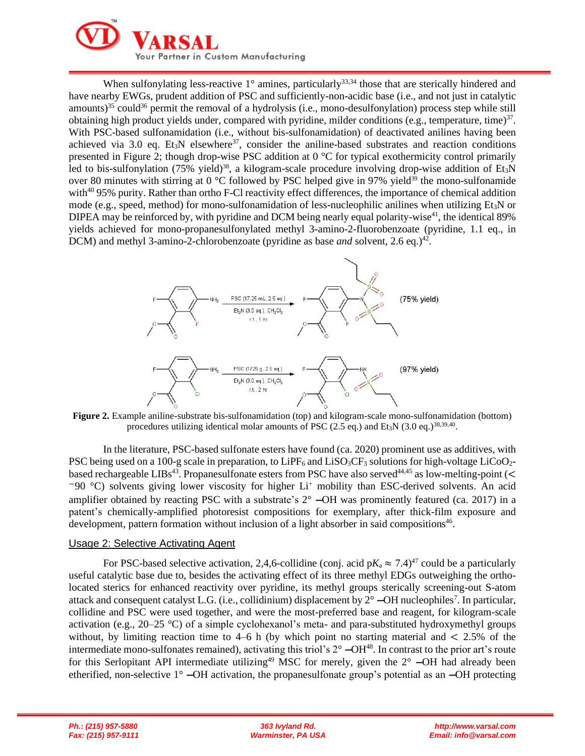

When sulfonylating less-reactive  $1^{\circ}$  amines, particularly<sup>33,34</sup> those that are sterically hindered and have nearby EWGs, prudent addition of PSC and sufficiently-non-acidic base (i.e., and not just in catalytic amounts)<sup>35</sup> could<sup>36</sup> permit the removal of a hydrolysis (i.e., mono-desulfonylation) process step while still obtaining high product yields under, compared with pyridine, milder conditions (e.g., temperature, time) $37$ . With PSC-based sulfonamidation (i.e., without bis-sulfonamidation) of deactivated anilines having been achieved via 3.0 eq. Et<sub>3</sub>N elsewhere<sup>37</sup>, consider the aniline-based substrates and reaction conditions presented in Figure 2; though drop-wise PSC addition at 0 °C for typical exothermicity control primarily led to bis-sulfonylation (75% yield)<sup>38</sup>, a kilogram-scale procedure involving drop-wise addition of Et<sub>3</sub>N over 80 minutes with stirring at 0  $^{\circ}$ C followed by PSC helped give in 97% yield<sup>39</sup> the mono-sulfonamide with<sup>40</sup> 95% purity. Rather than ortho F-Cl reactivity effect differences, the importance of chemical addition mode (e.g., speed, method) for mono-sulfonamidation of less-nucleophilic anilines when utilizing Et<sub>3</sub>N or DIPEA may be reinforced by, with pyridine and DCM being nearly equal polarity-wise<sup>41</sup>, the identical 89% yields achieved for mono-propanesulfonylated methyl 3-amino-2-fluorobenzoate (pyridine, 1.1 eq., in DCM) and methyl 3-amino-2-chlorobenzoate (pyridine as base *and* solvent, 2.6 eq.)<sup>42</sup>.



**Figure 2.** Example aniline-substrate bis-sulfonamidation (top) and kilogram-scale mono-sulfonamidation (bottom) procedures utilizing identical molar amounts of PSC (2.5 eq.) and Et<sub>3</sub>N (3.0 eq.)<sup>38,39,40</sup>.

In the literature, PSC-based sulfonate esters have found (ca. 2020) prominent use as additives, with PSC being used on a 100-g scale in preparation, to  $LiPF_6$  and  $LiSO_3CF_3$  solutions for high-voltage  $LiCoO_2$ based rechargeable LIBs<sup>43</sup>. Propanesulfonate esters from PSC have also served<sup>44,45</sup> as low-melting-point (<  $-90$  °C) solvents giving lower viscosity for higher Li<sup>+</sup> mobility than ESC-derived solvents. An acid amplifier obtained by reacting PSC with a substrate's 2° —OH was prominently featured (ca. 2017) in a patent's chemically-amplified photoresist compositions for exemplary, after thick-film exposure and development, pattern formation without inclusion of a light absorber in said compositions<sup>46</sup>.

#### Usage 2: Selective Activating Agent

For PSC-based selective activation, 2,4,6-collidine (conj. acid  $pK_a \approx 7.4$ )<sup>47</sup> could be a particularly useful catalytic base due to, besides the activating effect of its three methyl EDGs outweighing the ortholocated sterics for enhanced reactivity over pyridine, its methyl groups sterically screening-out S-atom attack and consequent catalyst L.G. (i.e., collidinium) displacement by  $2^{\circ}$  -OH nucleophiles<sup>7</sup>. In particular, collidine and PSC were used together, and were the most-preferred base and reagent, for kilogram-scale activation (e.g., 20–25 °C) of a simple cyclohexanol's meta- and para-substituted hydroxymethyl groups without, by limiting reaction time to  $4-6$  h (by which point no starting material and  $\lt 2.5\%$  of the intermediate mono-sulfonates remained), activating this triol's  $2^{\circ}$  -OH<sup>48</sup>. In contrast to the prior art's route for this Serlopitant API intermediate utilizing<sup>49</sup> MSC for merely, given the  $2^{\circ}$  -OH had already been etherified, non-selective 1° —OH activation, the propanesulfonate group's potential as an —OH protecting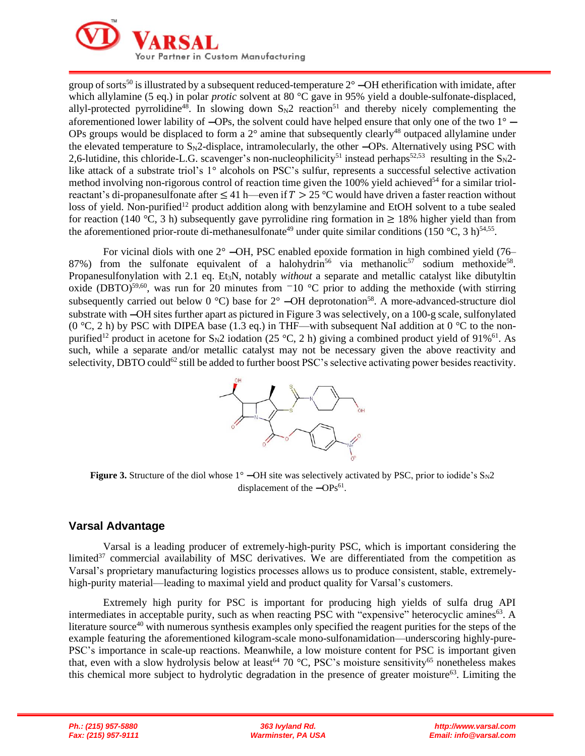

group of sorts<sup>50</sup> is illustrated by a subsequent reduced-temperature  $2^{\circ}$  –OH etherification with imidate, after which allylamine (5 eq.) in polar *protic* solvent at 80 °C gave in 95% yield a double-sulfonate-displaced, allyl-protected pyrrolidine<sup>48</sup>. In slowing down  $S_N2$  reaction<sup>51</sup> and thereby nicely complementing the aforementioned lower lability of  $-OPs$ , the solvent could have helped ensure that only one of the two  $1^{\circ}$  -OPs groups would be displaced to form a  $2^{\circ}$  amine that subsequently clearly<sup>48</sup> outpaced allylamine under the elevated temperature to  $S_N2$ -displace, intramolecularly, the other  $\sim$ OPs. Alternatively using PSC with 2,6-lutidine, this chloride-L.G. scavenger's non-nucleophilicity<sup>51</sup> instead perhaps<sup>52,53</sup> resulting in the  $S_N$ 2like attack of a substrate triol's 1° alcohols on PSC's sulfur, represents a successful selective activation method involving non-rigorous control of reaction time given the  $100\%$  yield achieved<sup>54</sup> for a similar triolreactant's di-propanesulfonate after  $\leq 41$  h—even if  $T > 25$  °C would have driven a faster reaction without loss of yield. Non-purified<sup>12</sup> product addition along with benzylamine and EtOH solvent to a tube sealed for reaction (140 °C, 3 h) subsequently gave pyrrolidine ring formation in  $\geq$  18% higher yield than from the aforementioned prior-route di-methanesulfonate<sup>49</sup> under quite similar conditions (150 °C, 3 h)<sup>54,55</sup>.

For vicinal diols with one  $2^{\circ}$  -OH, PSC enabled epoxide formation in high combined yield (76– 87%) from the sulfonate equivalent of a halohydrin<sup>56</sup> via methanolic<sup>57</sup> sodium methoxide<sup>58</sup>. Propanesulfonylation with 2.1 eq. Et3N, notably *without* a separate and metallic catalyst like dibutyltin oxide (DBTO)<sup>59,60</sup>, was run for 20 minutes from  $-10$  °C prior to adding the methoxide (with stirring subsequently carried out below  $0^{\circ}$ C) base for  $2^{\circ}$  –OH deprotonation<sup>58</sup>. A more-advanced-structure diol substrate with —OH sites further apart as pictured in Figure 3 was selectively, on a 100-g scale, sulfonylated (0 °C, 2 h) by PSC with DIPEA base (1.3 eq.) in THF—with subsequent NaI addition at 0 °C to the nonpurified<sup>12</sup> product in acetone for S<sub>N</sub>2 iodation (25 °C, 2 h) giving a combined product yield of 91%<sup>61</sup>. As such, while a separate and/or metallic catalyst may not be necessary given the above reactivity and selectivity, DBTO could<sup>62</sup> still be added to further boost PSC's selective activating power besides reactivity.



**Figure 3.** Structure of the diol whose  $1^{\circ}$  –OH site was selectively activated by PSC, prior to iodide's  $S_{N2}$ displacement of the  $-\text{OPs}^{61}$ .

# **Varsal Advantage**

Varsal is a leading producer of extremely-high-purity PSC, which is important considering the limited $37$  commercial availability of MSC derivatives. We are differentiated from the competition as Varsal's proprietary manufacturing logistics processes allows us to produce consistent, stable, extremelyhigh-purity material—leading to maximal yield and product quality for Varsal's customers.

Extremely high purity for PSC is important for producing high yields of sulfa drug API intermediates in acceptable purity, such as when reacting PSC with "expensive" heterocyclic amines<sup>63</sup>. A literature source<sup>40</sup> with numerous synthesis examples only specified the reagent purities for the steps of the example featuring the aforementioned kilogram-scale mono-sulfonamidation—underscoring highly-pure-PSC's importance in scale-up reactions. Meanwhile, a low moisture content for PSC is important given that, even with a slow hydrolysis below at least<sup>64</sup> 70 °C, PSC's moisture sensitivity<sup>65</sup> nonetheless makes this chemical more subject to hydrolytic degradation in the presence of greater moisture<sup>63</sup>. Limiting the